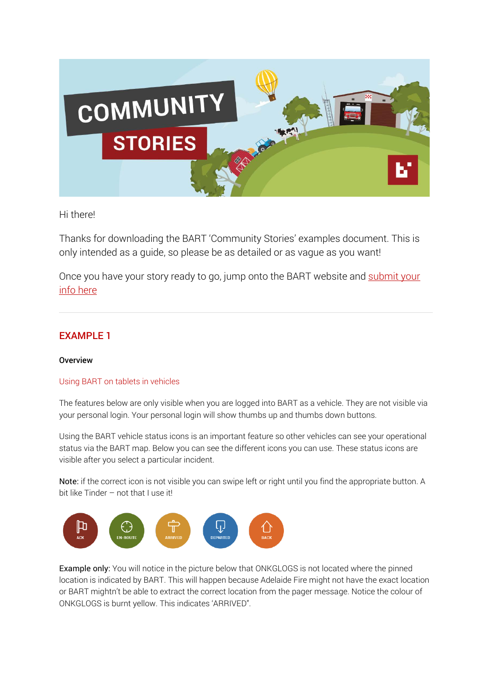

### Hi there!

Thanks for downloading the BART 'Community Stories' examples document. This is only intended as a guide, so please be as detailed or as vague as you want!

Once you have your story ready to go, jump onto the BART website and submit your info here

## EXAMPLE 1

#### **Overview**

#### Using BART on tablets in vehicles

The features below are only visible when you are logged into BART as a vehicle. They are not visible via your personal login. Your personal login will show thumbs up and thumbs down buttons.

Using the BART vehicle status icons is an important feature so other vehicles can see your operational status via the BART map. Below you can see the different icons you can use. These status icons are visible after you select a particular incident.

Note: if the correct icon is not visible you can swipe left or right until you find the appropriate button. A bit like Tinder – not that I use it!



Example only: You will notice in the picture below that ONKGLOGS is not located where the pinned location is indicated by BART. This will happen because Adelaide Fire might not have the exact location or BART mightn't be able to extract the correct location from the pager message. Notice the colour of ONKGLOGS is burnt yellow. This indicates 'ARRIVED".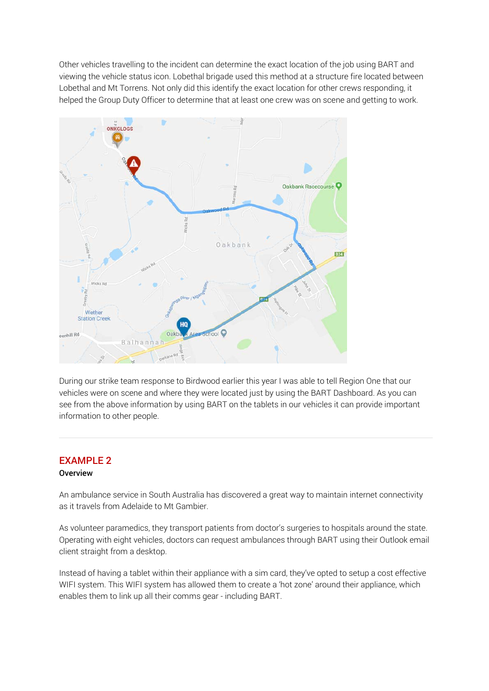Other vehicles travelling to the incident can determine the exact location of the job using BART and viewing the vehicle status icon. Lobethal brigade used this method at a structure fire located between Lobethal and Mt Torrens. Not only did this identify the exact location for other crews responding, it helped the Group Duty Officer to determine that at least one crew was on scene and getting to work.



During our strike team response to Birdwood earlier this year I was able to tell Region One that our vehicles were on scene and where they were located just by using the BART Dashboard. As you can see from the above information by using BART on the tablets in our vehicles it can provide important information to other people.

# EXAMPLE 2

#### **Overview**

An ambulance service in South Australia has discovered a great way to maintain internet connectivity as it travels from Adelaide to Mt Gambier.

As volunteer paramedics, they transport patients from doctor's surgeries to hospitals around the state. Operating with eight vehicles, doctors can request ambulances through BART using their Outlook email client straight from a desktop.

Instead of having a tablet within their appliance with a sim card, they've opted to setup a cost effective WIFI system. This WIFI system has allowed them to create a 'hot zone' around their appliance, which enables them to link up all their comms gear - including BART.